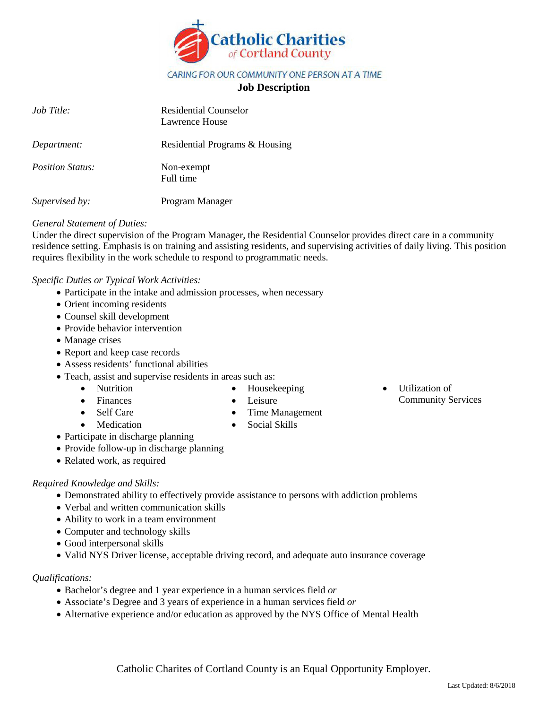

### CARING FOR OUR COMMUNITY ONE PERSON AT A TIME

## **Job Description**

| $Job$ Title:            | <b>Residential Counselor</b><br>Lawrence House |
|-------------------------|------------------------------------------------|
| Department:             | Residential Programs & Housing                 |
| <i>Position Status:</i> | Non-exempt<br>Full time                        |
| Supervised by:          | Program Manager                                |

#### *General Statement of Duties:*

Under the direct supervision of the Program Manager, the Residential Counselor provides direct care in a community residence setting. Emphasis is on training and assisting residents, and supervising activities of daily living. This position requires flexibility in the work schedule to respond to programmatic needs.

*Specific Duties or Typical Work Activities:*

- Participate in the intake and admission processes, when necessary
- Orient incoming residents
- Counsel skill development
- Provide behavior intervention
- Manage crises
- Report and keep case records
- Assess residents' functional abilities
- Teach, assist and supervise residents in areas such as:
	- Nutrition
	- Finances
- Housekeeping • Leisure
- Self Care
- Medication
- Time Management • Social Skills
- Utilization of Community Services

- Participate in discharge planning
- Provide follow-up in discharge planning
- Related work, as required

## *Required Knowledge and Skills:*

- Demonstrated ability to effectively provide assistance to persons with addiction problems
- Verbal and written communication skills
- Ability to work in a team environment
- Computer and technology skills
- Good interpersonal skills
- Valid NYS Driver license, acceptable driving record, and adequate auto insurance coverage

# *Qualifications:*

- Bachelor's degree and 1 year experience in a human services field *or*
- Associate's Degree and 3 years of experience in a human services field *or*
- Alternative experience and/or education as approved by the NYS Office of Mental Health